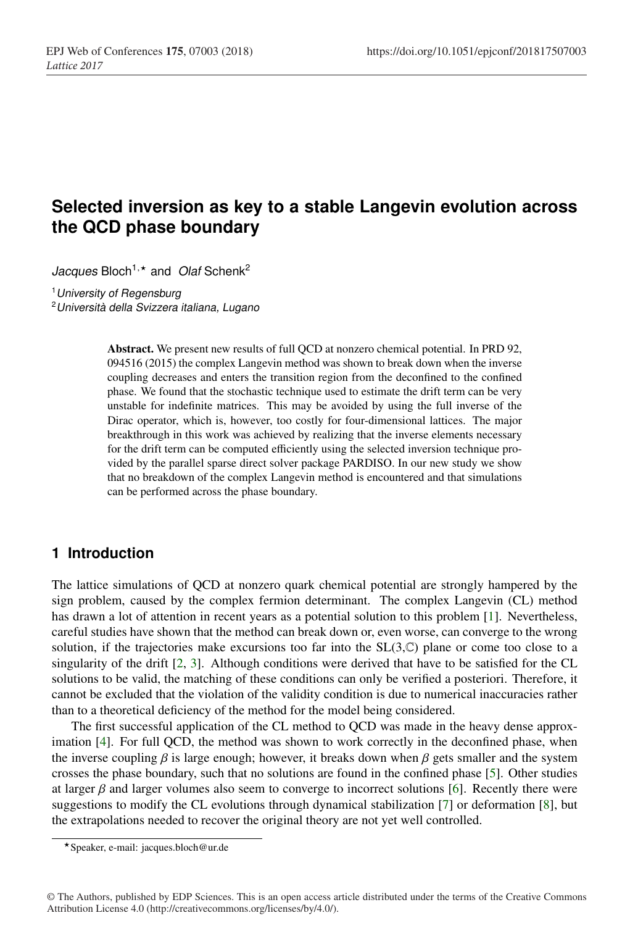# **Selected inversion as key to a stable Langevin evolution across the QCD phase boundary**

Jacques Bloch<sup>1,\*</sup> and *Olaf* Schenk<sup>2</sup>

<sup>1</sup>*University of Regensburg*

<sup>2</sup>*Università della Svizzera italiana, Lugano*

Abstract. We present new results of full QCD at nonzero chemical potential. In PRD 92, 094516 (2015) the complex Langevin method was shown to break down when the inverse coupling decreases and enters the transition region from the deconfined to the confined phase. We found that the stochastic technique used to estimate the drift term can be very unstable for indefinite matrices. This may be avoided by using the full inverse of the Dirac operator, which is, however, too costly for four-dimensional lattices. The major breakthrough in this work was achieved by realizing that the inverse elements necessary for the drift term can be computed efficiently using the selected inversion technique provided by the parallel sparse direct solver package PARDISO. In our new study we show that no breakdown of the complex Langevin method is encountered and that simulations can be performed across the phase boundary.

# **1 Introduction**

The lattice simulations of QCD at nonzero quark chemical potential are strongly hampered by the sign problem, caused by the complex fermion determinant. The complex Langevin (CL) method has drawn a lot of attention in recent years as a potential solution to this problem [1]. Nevertheless, careful studies have shown that the method can break down or, even worse, can converge to the wrong solution, if the trajectories make excursions too far into the  $SL(3,\mathbb{C})$  plane or come too close to a singularity of the drift [2, 3]. Although conditions were derived that have to be satisfied for the CL solutions to be valid, the matching of these conditions can only be verified a posteriori. Therefore, it cannot be excluded that the violation of the validity condition is due to numerical inaccuracies rather than to a theoretical deficiency of the method for the model being considered.

The first successful application of the CL method to QCD was made in the heavy dense approximation [4]. For full QCD, the method was shown to work correctly in the deconfined phase, when the inverse coupling  $\beta$  is large enough; however, it breaks down when  $\beta$  gets smaller and the system crosses the phase boundary, such that no solutions are found in the confined phase [5]. Other studies at larger  $\beta$  and larger volumes also seem to converge to incorrect solutions [6]. Recently there were suggestions to modify the CL evolutions through dynamical stabilization [7] or deformation [8], but the extrapolations needed to recover the original theory are not yet well controlled.

Speaker, e-mail: jacques.bloch@ur.de

<sup>©</sup> The Authors, published by EDP Sciences. This is an open access article distributed under the terms of the Creative Commons Attribution License 4.0 (http://creativecommons.org/licenses/by/4.0/).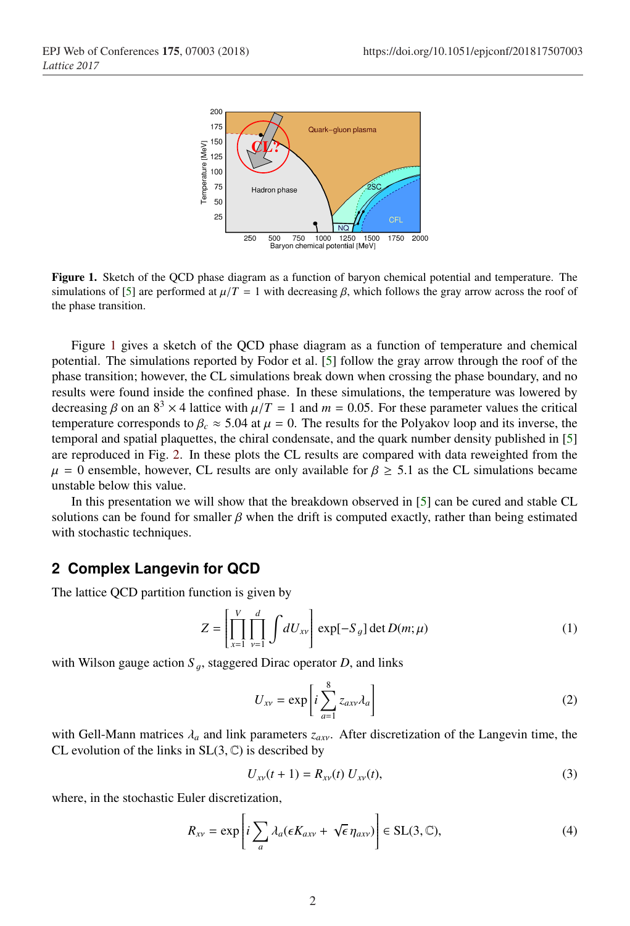

Figure 1. Sketch of the QCD phase diagram as a function of baryon chemical potential and temperature. The simulations of [5] are performed at  $\mu/T = 1$  with decreasing  $\beta$ , which follows the gray arrow across the roof of the phase transition.

Figure 1 gives a sketch of the QCD phase diagram as a function of temperature and chemical potential. The simulations reported by Fodor et al. [5] follow the gray arrow through the roof of the phase transition; however, the CL simulations break down when crossing the phase boundary, and no results were found inside the confined phase. In these simulations, the temperature was lowered by decreasing  $\beta$  on an  $8^3 \times 4$  lattice with  $\mu/T = 1$  and  $m = 0.05$ . For these parameter values the critical temperature corresponds to  $\beta_c \approx 5.04$  at  $\mu = 0$ . The results for the Polyakov loop and its inverse, the temporal and spatial plaquettes, the chiral condensate, and the quark number density published in [5] are reproduced in Fig. 2. In these plots the CL results are compared with data reweighted from the  $\mu = 0$  ensemble, however, CL results are only available for  $\beta \geq 5.1$  as the CL simulations became unstable below this value.

In this presentation we will show that the breakdown observed in [5] can be cured and stable CL solutions can be found for smaller  $\beta$  when the drift is computed exactly, rather than being estimated with stochastic techniques.

# **2 Complex Langevin for QCD**

The lattice QCD partition function is given by

$$
Z = \left[ \prod_{x=1}^{V} \prod_{\nu=1}^{d} \int dU_{xy} \right] \exp[-S_g] \det D(m; \mu)
$$
 (1)

with Wilson gauge action  $S_a$ , staggered Dirac operator *D*, and links

$$
U_{xy} = \exp\left[i\sum_{a=1}^{8} z_{axy} \lambda_a\right]
$$
 (2)

with Gell-Mann matrices  $\lambda_a$  and link parameters  $z_{\alpha x}$ . After discretization of the Langevin time, the CL evolution of the links in  $SL(3, \mathbb{C})$  is described by

$$
U_{x\nu}(t+1) = R_{x\nu}(t) U_{x\nu}(t),
$$
\n(3)

where, in the stochastic Euler discretization,

$$
R_{xy} = \exp\left[i\sum_{a} \lambda_a(\epsilon K_{axy} + \sqrt{\epsilon}\,\eta_{axv})\right] \in \text{SL}(3,\mathbb{C}),\tag{4}
$$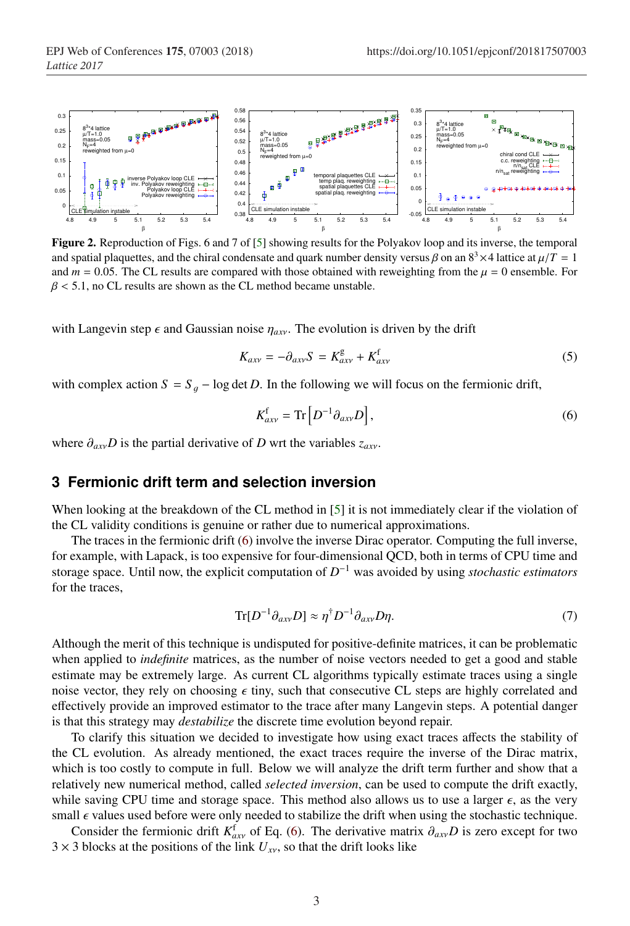

Figure 2. Reproduction of Figs. 6 and 7 of [5] showing results for the Polyakov loop and its inverse, the temporal and spatial plaquettes, and the chiral condensate and quark number density versus  $\beta$  on an  $8^3 \times 4$  lattice at  $\mu/T = 1$ and  $m = 0.05$ . The CL results are compared with those obtained with reweighting from the  $\mu = 0$  ensemble. For  $\beta$  < 5.1, no CL results are shown as the CL method became unstable.

with Langevin step  $\epsilon$  and Gaussian noise  $\eta_{\alpha x}$ . The evolution is driven by the drift

$$
K_{axy} = -\partial_{axy}S = K_{axy}^g + K_{axy}^f \tag{5}
$$

with complex action  $S = S<sub>g</sub> - \log \det D$ . In the following we will focus on the fermionic drift,

$$
K_{axy}^{\rm f} = \text{Tr}\left[D^{-1}\partial_{axy}D\right],\tag{6}
$$

where  $\partial_{axv}D$  is the partial derivative of *D* wrt the variables  $z_{axv}$ .

## **3 Fermionic drift term and selection inversion**

When looking at the breakdown of the CL method in [5] it is not immediately clear if the violation of the CL validity conditions is genuine or rather due to numerical approximations.

The traces in the fermionic drift (6) involve the inverse Dirac operator. Computing the full inverse, for example, with Lapack, is too expensive for four-dimensional QCD, both in terms of CPU time and storage space. Until now, the explicit computation of *D*−<sup>1</sup> was avoided by using *stochastic estimators* for the traces,

$$
\text{Tr}[D^{-1}\partial_{axv}D] \approx \eta^{\dagger}D^{-1}\partial_{axv}D\eta. \tag{7}
$$

Although the merit of this technique is undisputed for positive-definite matrices, it can be problematic when applied to *indefinite* matrices, as the number of noise vectors needed to get a good and stable estimate may be extremely large. As current CL algorithms typically estimate traces using a single noise vector, they rely on choosing  $\epsilon$  tiny, such that consecutive CL steps are highly correlated and effectively provide an improved estimator to the trace after many Langevin steps. A potential danger is that this strategy may *destabilize* the discrete time evolution beyond repair.

To clarify this situation we decided to investigate how using exact traces affects the stability of the CL evolution. As already mentioned, the exact traces require the inverse of the Dirac matrix, which is too costly to compute in full. Below we will analyze the drift term further and show that a relatively new numerical method, called *selected inversion*, can be used to compute the drift exactly, while saving CPU time and storage space. This method also allows us to use a larger  $\epsilon$ , as the very small  $\epsilon$  values used before were only needed to stabilize the drift when using the stochastic technique.

Consider the fermionic drift  $K_{axy}^f$  of Eq. (6). The derivative matrix  $\partial_{axy}D$  is zero except for two  $3 \times 3$  blocks at the positions of the link  $U_{xy}$ , so that the drift looks like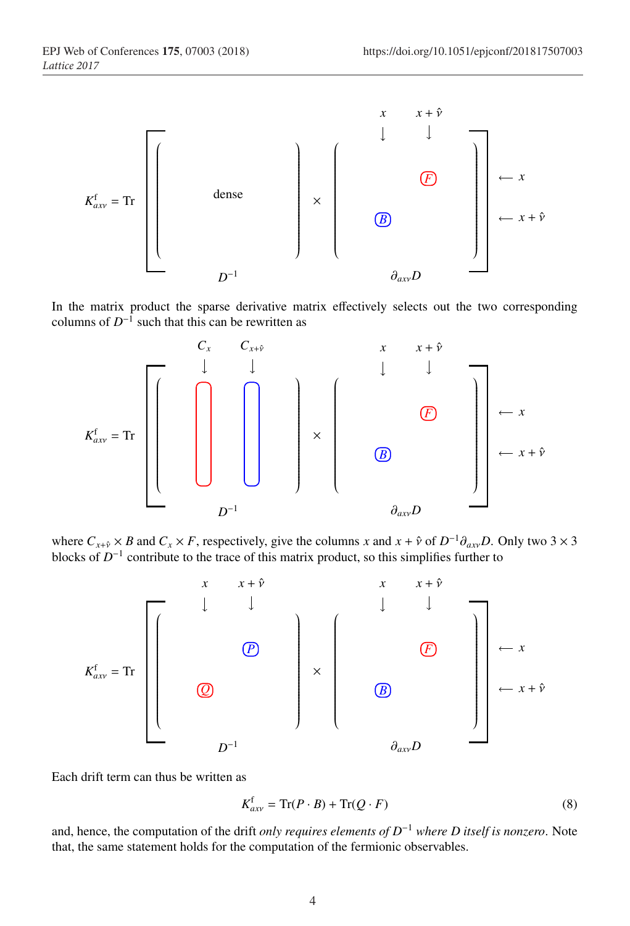

In the matrix product the sparse derivative matrix effectively selects out the two corresponding columns of  $D^{-1}$  such that this can be rewritten as



where  $C_{x+\hat{y}} \times B$  and  $C_x \times F$ , respectively, give the columns *x* and  $x + \hat{y}$  of  $D^{-1}\partial_{axy}D$ . Only two 3 × 3 blocks of *D*−<sup>1</sup> contribute to the trace of this matrix product, so this simplifies further to



Each drift term can thus be written as

$$
K_{axv}^{\text{f}} = \text{Tr}(P \cdot B) + \text{Tr}(Q \cdot F) \tag{8}
$$

and, hence, the computation of the drift *only requires elements of D*−<sup>1</sup> *where D itself is nonzero*. Note that, the same statement holds for the computation of the fermionic observables.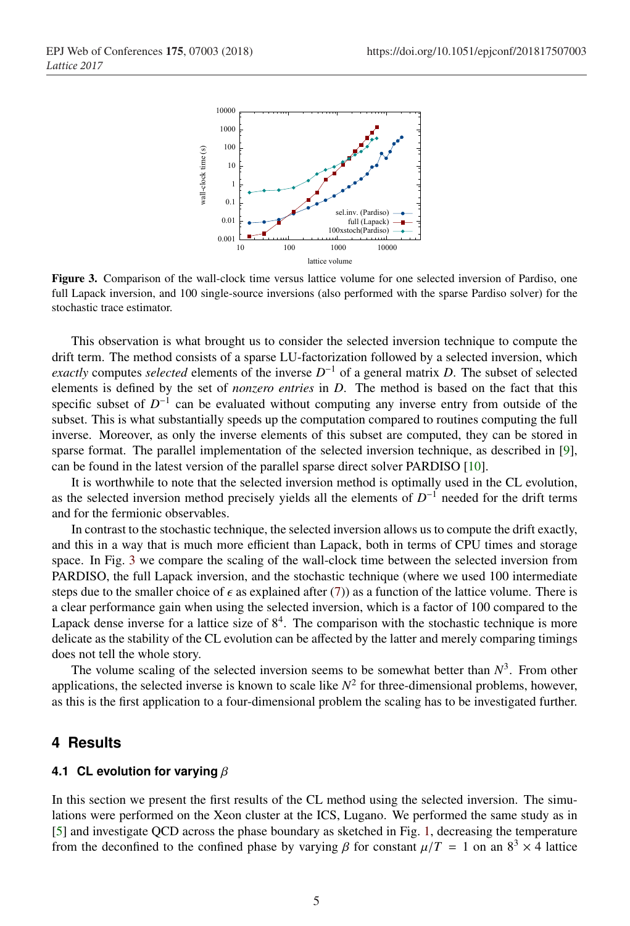

Figure 3. Comparison of the wall-clock time versus lattice volume for one selected inversion of Pardiso, one full Lapack inversion, and 100 single-source inversions (also performed with the sparse Pardiso solver) for the stochastic trace estimator.

This observation is what brought us to consider the selected inversion technique to compute the drift term. The method consists of a sparse LU-factorization followed by a selected inversion, which *exactly* computes *selected* elements of the inverse  $D^{-1}$  of a general matrix *D*. The subset of selected elements is defined by the set of *nonzero entries* in *D*. The method is based on the fact that this specific subset of  $D^{-1}$  can be evaluated without computing any inverse entry from outside of the subset. This is what substantially speeds up the computation compared to routines computing the full inverse. Moreover, as only the inverse elements of this subset are computed, they can be stored in sparse format. The parallel implementation of the selected inversion technique, as described in [9], can be found in the latest version of the parallel sparse direct solver PARDISO [10].

It is worthwhile to note that the selected inversion method is optimally used in the CL evolution, as the selected inversion method precisely yields all the elements of *D*−<sup>1</sup> needed for the drift terms and for the fermionic observables.

In contrast to the stochastic technique, the selected inversion allows us to compute the drift exactly, and this in a way that is much more efficient than Lapack, both in terms of CPU times and storage space. In Fig. 3 we compare the scaling of the wall-clock time between the selected inversion from PARDISO, the full Lapack inversion, and the stochastic technique (where we used 100 intermediate steps due to the smaller choice of  $\epsilon$  as explained after (7)) as a function of the lattice volume. There is a clear performance gain when using the selected inversion, which is a factor of 100 compared to the Lapack dense inverse for a lattice size of  $8<sup>4</sup>$ . The comparison with the stochastic technique is more delicate as the stability of the CL evolution can be affected by the latter and merely comparing timings does not tell the whole story.

The volume scaling of the selected inversion seems to be somewhat better than  $N<sup>3</sup>$ . From other applications, the selected inverse is known to scale like  $N^2$  for three-dimensional problems, however, as this is the first application to a four-dimensional problem the scaling has to be investigated further.

### **4 Results**

#### **4.1 CL evolution for varying** β

In this section we present the first results of the CL method using the selected inversion. The simulations were performed on the Xeon cluster at the ICS, Lugano. We performed the same study as in [5] and investigate QCD across the phase boundary as sketched in Fig. 1, decreasing the temperature from the deconfined to the confined phase by varying  $\beta$  for constant  $\mu/T = 1$  on an  $8^3 \times 4$  lattice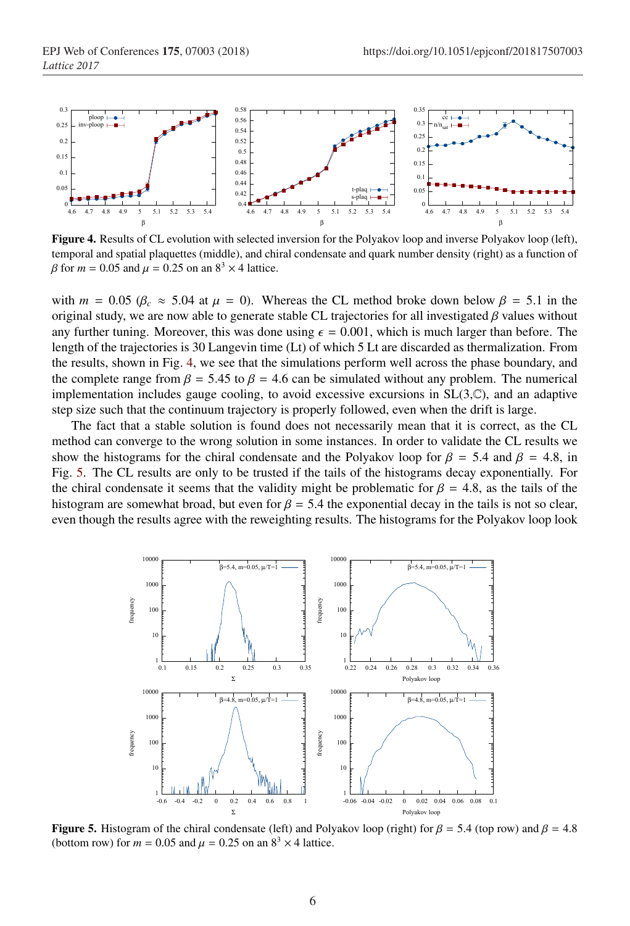

Figure 4. Results of CL evolution with selected inversion for the Polyakov loop and inverse Polyakov loop (left), temporal and spatial plaquettes (middle), and chiral condensate and quark number density (right) as a function of  $β$  for *m* = 0.05 and  $μ$  = 0.25 on an  $8<sup>3</sup> × 4$  lattice.

with  $m = 0.05$  ( $\beta_c \approx 5.04$  at  $\mu = 0$ ). Whereas the CL method broke down below  $\beta = 5.1$  in the original study, we are now able to generate stable CL trajectories for all investigated  $\beta$  values without any further tuning. Moreover, this was done using  $\epsilon = 0.001$ , which is much larger than before. The length of the trajectories is 30 Langevin time (Lt) of which 5 Lt are discarded as thermalization. From the results, shown in Fig. 4, we see that the simulations perform well across the phase boundary, and the complete range from  $\beta = 5.45$  to  $\beta = 4.6$  can be simulated without any problem. The numerical implementation includes gauge cooling, to avoid excessive excursions in  $SL(3,\mathbb{C})$ , and an adaptive step size such that the continuum trajectory is properly followed, even when the drift is large.

The fact that a stable solution is found does not necessarily mean that it is correct, as the CL method can converge to the wrong solution in some instances. In order to validate the CL results we show the histograms for the chiral condensate and the Polyakov loop for  $\beta = 5.4$  and  $\beta = 4.8$ , in Fig. 5. The CL results are only to be trusted if the tails of the histograms decay exponentially. For the chiral condensate it seems that the validity might be problematic for  $\beta = 4.8$ , as the tails of the histogram are somewhat broad, but even for  $\beta = 5.4$  the exponential decay in the tails is not so clear, even though the results agree with the reweighting results. The histograms for the Polyakov loop look



Figure 5. Histogram of the chiral condensate (left) and Polyakov loop (right) for  $\beta = 5.4$  (top row) and  $\beta = 4.8$ (bottom row) for  $m = 0.05$  and  $\mu = 0.25$  on an  $8<sup>3</sup> \times 4$  lattice.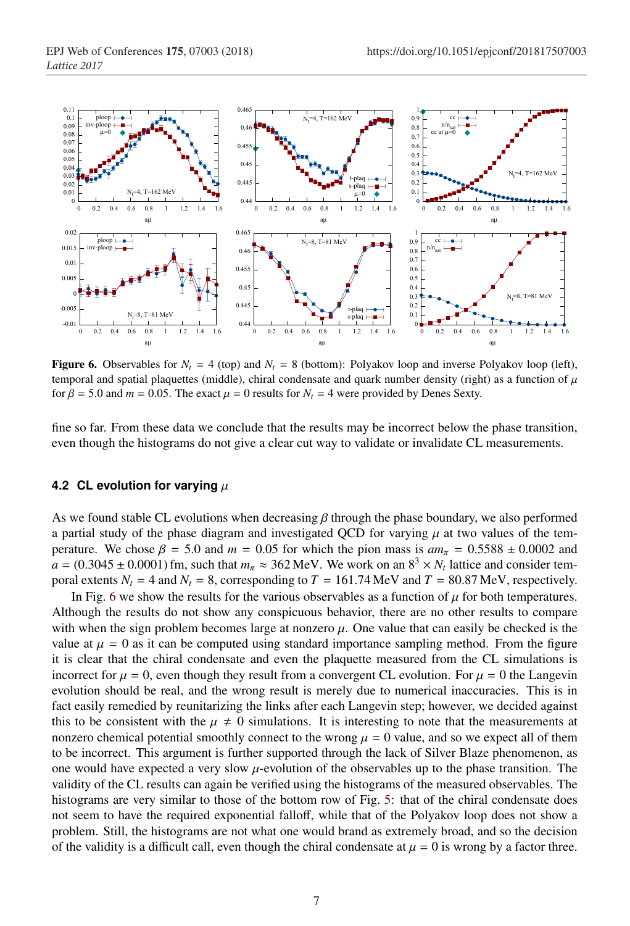

**Figure 6.** Observables for  $N_t = 4$  (top) and  $N_t = 8$  (bottom): Polyakov loop and inverse Polyakov loop (left), temporal and spatial plaquettes (middle), chiral condensate and quark number density (right) as a function of  $\mu$ for  $\beta = 5.0$  and  $m = 0.05$ . The exact  $\mu = 0$  results for  $N_t = 4$  were provided by Denes Sexty.

fine so far. From these data we conclude that the results may be incorrect below the phase transition, even though the histograms do not give a clear cut way to validate or invalidate CL measurements.

#### **4.2 CL evolution for varying**  $\mu$

As we found stable CL evolutions when decreasing  $\beta$  through the phase boundary, we also performed a partial study of the phase diagram and investigated QCD for varying  $\mu$  at two values of the temperature. We chose  $\beta = 5.0$  and  $m = 0.05$  for which the pion mass is  $am_\pi = 0.5588 \pm 0.0002$  and  $a = (0.3045 \pm 0.0001)$  fm, such that  $m_\pi \approx 362$  MeV. We work on an  $8^3 \times N_t$  lattice and consider temporal extents  $N_t = 4$  and  $N_t = 8$ , corresponding to  $T = 161.74 \text{ MeV}$  and  $T = 80.87 \text{ MeV}$ , respectively.

In Fig. 6 we show the results for the various observables as a function of  $\mu$  for both temperatures. Although the results do not show any conspicuous behavior, there are no other results to compare with when the sign problem becomes large at nonzero  $\mu$ . One value that can easily be checked is the value at  $\mu = 0$  as it can be computed using standard importance sampling method. From the figure it is clear that the chiral condensate and even the plaquette measured from the CL simulations is incorrect for  $\mu = 0$ , even though they result from a convergent CL evolution. For  $\mu = 0$  the Langevin evolution should be real, and the wrong result is merely due to numerical inaccuracies. This is in fact easily remedied by reunitarizing the links after each Langevin step; however, we decided against this to be consistent with the  $\mu \neq 0$  simulations. It is interesting to note that the measurements at nonzero chemical potential smoothly connect to the wrong  $\mu = 0$  value, and so we expect all of them to be incorrect. This argument is further supported through the lack of Silver Blaze phenomenon, as one would have expected a very slow  $\mu$ -evolution of the observables up to the phase transition. The validity of the CL results can again be verified using the histograms of the measured observables. The histograms are very similar to those of the bottom row of Fig. 5: that of the chiral condensate does not seem to have the required exponential falloff, while that of the Polyakov loop does not show a problem. Still, the histograms are not what one would brand as extremely broad, and so the decision of the validity is a difficult call, even though the chiral condensate at  $\mu = 0$  is wrong by a factor three.